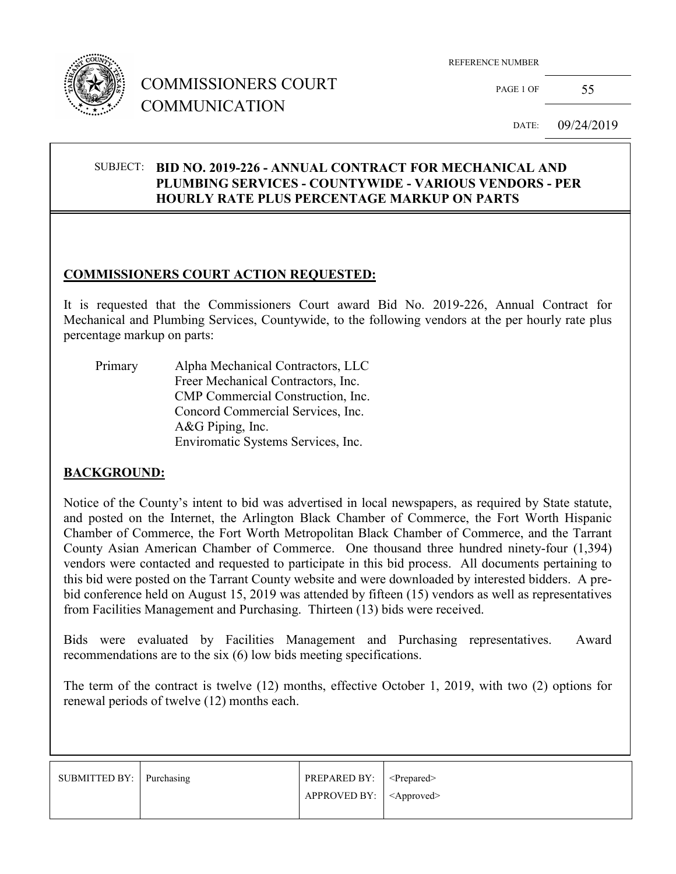

## COMMISSIONERS COURT COMMUNICATION

REFERENCE NUMBER

PAGE 1 OF 55

DATE: 09/24/2019

#### SUBJECT: **BID NO. 2019-226 - ANNUAL CONTRACT FOR MECHANICAL AND PLUMBING SERVICES - COUNTYWIDE - VARIOUS VENDORS - PER HOURLY RATE PLUS PERCENTAGE MARKUP ON PARTS**

#### **COMMISSIONERS COURT ACTION REQUESTED:**

It is requested that the Commissioners Court award Bid No. 2019-226, Annual Contract for Mechanical and Plumbing Services, Countywide, to the following vendors at the per hourly rate plus percentage markup on parts:

| Primary | Alpha Mechanical Contractors, LLC  |
|---------|------------------------------------|
|         | Freer Mechanical Contractors, Inc. |
|         | CMP Commercial Construction, Inc.  |
|         | Concord Commercial Services, Inc.  |
|         | A&G Piping, Inc.                   |
|         | Enviromatic Systems Services, Inc. |

#### **BACKGROUND:**

Notice of the County's intent to bid was advertised in local newspapers, as required by State statute, and posted on the Internet, the Arlington Black Chamber of Commerce, the Fort Worth Hispanic Chamber of Commerce, the Fort Worth Metropolitan Black Chamber of Commerce, and the Tarrant County Asian American Chamber of Commerce. One thousand three hundred ninety-four (1,394) vendors were contacted and requested to participate in this bid process. All documents pertaining to this bid were posted on the Tarrant County website and were downloaded by interested bidders. A prebid conference held on August 15, 2019 was attended by fifteen (15) vendors as well as representatives from Facilities Management and Purchasing. Thirteen (13) bids were received.

Bids were evaluated by Facilities Management and Purchasing representatives. Award recommendations are to the six (6) low bids meeting specifications.

The term of the contract is twelve (12) months, effective October 1, 2019, with two (2) options for renewal periods of twelve (12) months each.

| SUBMITTED BY: Purchasing | <b>PREPARED BY:</b> $\leq$ Prepared> |  |
|--------------------------|--------------------------------------|--|
|                          | $APPROVED BY:   <$ Approved>         |  |